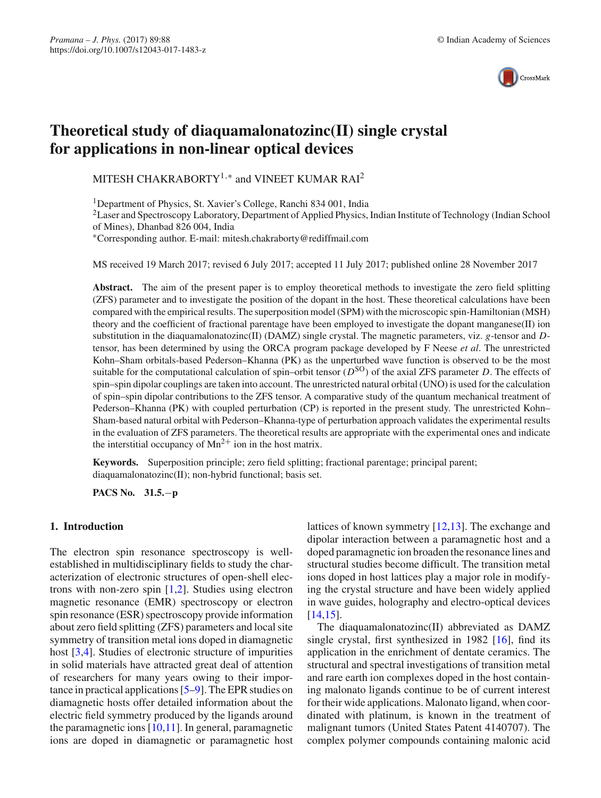

# **Theoretical study of diaquamalonatozinc(II) single crystal for applications in non-linear optical devices**

MITESH CHAKRABORTY<sup>1,\*</sup> and VINEET KUMAR RAI<sup>2</sup>

1Department of Physics, St. Xavier's College, Ranchi 834 001, India

<sup>2</sup>Laser and Spectroscopy Laboratory, Department of Applied Physics, Indian Institute of Technology (Indian School of Mines), Dhanbad 826 004, India

∗Corresponding author. E-mail: mitesh.chakraborty@rediffmail.com

MS received 19 March 2017; revised 6 July 2017; accepted 11 July 2017; published online 28 November 2017

**Abstract.** The aim of the present paper is to employ theoretical methods to investigate the zero field splitting (ZFS) parameter and to investigate the position of the dopant in the host. These theoretical calculations have been compared with the empirical results. The superposition model (SPM) with the microscopic spin-Hamiltonian (MSH) theory and the coefficient of fractional parentage have been employed to investigate the dopant manganese(II) ion substitution in the diaquamalonatozinc(II) (DAMZ) single crystal. The magnetic parameters, viz. *g*-tensor and *D*tensor, has been determined by using the ORCA program package developed by F Neese *et al*. The unrestricted Kohn–Sham orbitals-based Pederson–Khanna (PK) as the unperturbed wave function is observed to be the most suitable for the computational calculation of spin–orbit tensor ( $D^{SO}$ ) of the axial ZFS parameter *D*. The effects of spin–spin dipolar couplings are taken into account. The unrestricted natural orbital (UNO) is used for the calculation of spin–spin dipolar contributions to the ZFS tensor. A comparative study of the quantum mechanical treatment of Pederson–Khanna (PK) with coupled perturbation (CP) is reported in the present study. The unrestricted Kohn– Sham-based natural orbital with Pederson–Khanna-type of perturbation approach validates the experimental results in the evaluation of ZFS parameters. The theoretical results are appropriate with the experimental ones and indicate the interstitial occupancy of  $Mn^{2+}$  ion in the host matrix.

**Keywords.** Superposition principle; zero field splitting; fractional parentage; principal parent; diaquamalonatozinc(II); non-hybrid functional; basis set.

**PACS No. 31.5.**−**p**

#### **1. Introduction**

The electron spin resonance spectroscopy is wellestablished in multidisciplinary fields to study the characterization of electronic structures of open-shell electrons with non-zero spin [\[1](#page-6-0)[,2](#page-6-1)]. Studies using electron magnetic resonance (EMR) spectroscopy or electron spin resonance (ESR) spectroscopy provide information about zero field splitting (ZFS) parameters and local site symmetry of transition metal ions doped in diamagnetic host [\[3](#page-6-2)[,4](#page-6-3)]. Studies of electronic structure of impurities in solid materials have attracted great deal of attention of researchers for many years owing to their importance in practical applications [\[5](#page-6-4)[–9\]](#page-6-5). The EPR studies on diamagnetic hosts offer detailed information about the electric field symmetry produced by the ligands around the paramagnetic ions [\[10](#page-6-6)[,11\]](#page-6-7). In general, paramagnetic ions are doped in diamagnetic or paramagnetic host lattices of known symmetry [\[12](#page-6-8)[,13](#page-6-9)]. The exchange and dipolar interaction between a paramagnetic host and a doped paramagnetic ion broaden the resonance lines and structural studies become difficult. The transition metal ions doped in host lattices play a major role in modifying the crystal structure and have been widely applied in wave guides, holography and electro-optical devices [\[14](#page-7-0)[,15\]](#page-7-1).

The diaquamalonatozinc(II) abbreviated as DAMZ single crystal, first synthesized in 1982 [\[16\]](#page-7-2), find its application in the enrichment of dentate ceramics. The structural and spectral investigations of transition metal and rare earth ion complexes doped in the host containing malonato ligands continue to be of current interest for their wide applications. Malonato ligand, when coordinated with platinum, is known in the treatment of malignant tumors (United States Patent 4140707). The complex polymer compounds containing malonic acid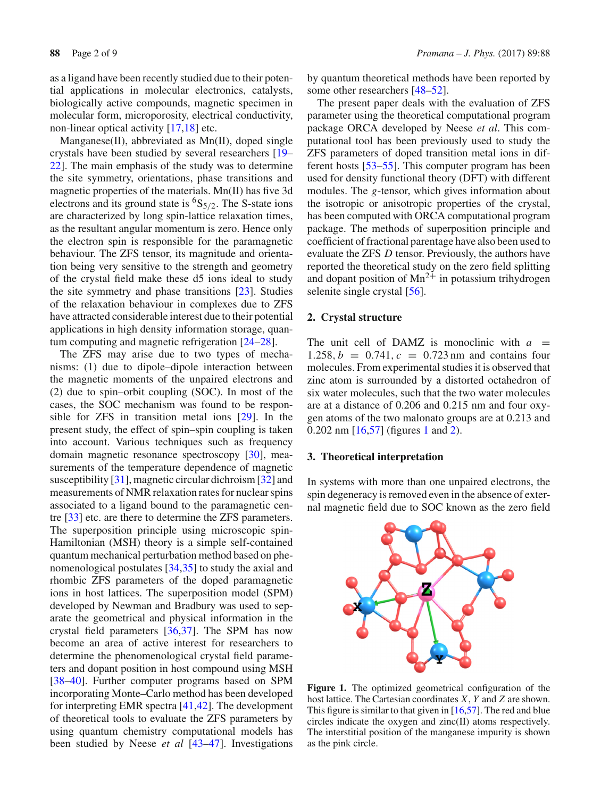as a ligand have been recently studied due to their potential applications in molecular electronics, catalysts, biologically active compounds, magnetic specimen in molecular form, microporosity, electrical conductivity, non-linear optical activity [\[17](#page-7-3)[,18](#page-7-4)] etc.

Manganese(II), abbreviated as Mn(II), doped single crystals have been studied by several researchers [\[19–](#page-7-5) [22](#page-7-6)]. The main emphasis of the study was to determine the site symmetry, orientations, phase transitions and magnetic properties of the materials. Mn(II) has five 3d electrons and its ground state is  ${}^{6}S_{5/2}$ . The S-state ions are characterized by long spin-lattice relaxation times, as the resultant angular momentum is zero. Hence only the electron spin is responsible for the paramagnetic behaviour. The ZFS tensor, its magnitude and orientation being very sensitive to the strength and geometry of the crystal field make these d5 ions ideal to study the site symmetry and phase transitions [\[23\]](#page-7-7). Studies of the relaxation behaviour in complexes due to ZFS have attracted considerable interest due to their potential applications in high density information storage, quantum computing and magnetic refrigeration [\[24](#page-7-8)[–28\]](#page-7-9).

The ZFS may arise due to two types of mechanisms: (1) due to dipole–dipole interaction between the magnetic moments of the unpaired electrons and (2) due to spin–orbit coupling (SOC). In most of the cases, the SOC mechanism was found to be responsible for ZFS in transition metal ions [\[29\]](#page-7-10). In the present study, the effect of spin–spin coupling is taken into account. Various techniques such as frequency domain magnetic resonance spectroscopy [\[30](#page-7-11)], measurements of the temperature dependence of magnetic susceptibility [\[31](#page-7-12)], magnetic circular dichroism [\[32](#page-7-13)] and measurements of NMR relaxation rates for nuclear spins associated to a ligand bound to the paramagnetic centre [\[33](#page-7-14)] etc. are there to determine the ZFS parameters. The superposition principle using microscopic spin-Hamiltonian (MSH) theory is a simple self-contained quantum mechanical perturbation method based on phenomenological postulates [\[34](#page-7-15)[,35\]](#page-7-16) to study the axial and rhombic ZFS parameters of the doped paramagnetic ions in host lattices. The superposition model (SPM) developed by Newman and Bradbury was used to separate the geometrical and physical information in the crystal field parameters [\[36](#page-7-17)[,37\]](#page-7-18). The SPM has now become an area of active interest for researchers to determine the phenomenological crystal field parameters and dopant position in host compound using MSH [\[38](#page-7-19)[–40\]](#page-7-20). Further computer programs based on SPM incorporating Monte–Carlo method has been developed for interpreting EMR spectra [\[41](#page-7-21)[,42](#page-7-22)]. The development of theoretical tools to evaluate the ZFS parameters by using quantum chemistry computational models has been studied by Neese *et al* [\[43](#page-7-23)[–47](#page-7-24)]. Investigations by quantum theoretical methods have been reported by some other researchers [\[48](#page-7-25)[–52\]](#page-7-26).

The present paper deals with the evaluation of ZFS parameter using the theoretical computational program package ORCA developed by Neese *et al*. This computational tool has been previously used to study the ZFS parameters of doped transition metal ions in different hosts [\[53](#page-7-27)[–55](#page-7-28)]. This computer program has been used for density functional theory (DFT) with different modules. The *g*-tensor, which gives information about the isotropic or anisotropic properties of the crystal, has been computed with ORCA computational program package. The methods of superposition principle and coefficient of fractional parentage have also been used to evaluate the ZFS *D* tensor. Previously, the authors have reported the theoretical study on the zero field splitting and dopant position of  $Mn^{2+}$  in potassium trihydrogen selenite single crystal [\[56](#page-7-29)].

## **2. Crystal structure**

The unit cell of DAMZ is monoclinic with  $a =$ 1.258,  $b = 0.741$ ,  $c = 0.723$  nm and contains four molecules. From experimental studies it is observed that zinc atom is surrounded by a distorted octahedron of six water molecules, such that the two water molecules are at a distance of 0.206 and 0.215 nm and four oxygen atoms of the two malonato groups are at 0.213 and 0.202 nm [\[16](#page-7-2)[,57](#page-7-30)] (figures [1](#page-1-0) and [2\)](#page-2-0).

## **3. Theoretical interpretation**

In systems with more than one unpaired electrons, the spin degeneracy is removed even in the absence of external magnetic field due to SOC known as the zero field



<span id="page-1-0"></span>**Figure 1.** The optimized geometrical configuration of the host lattice. The Cartesian coordinates *X*, *Y* and *Z* are shown. This figure is similar to that given in  $[16,57]$  $[16,57]$ . The red and blue circles indicate the oxygen and zinc(II) atoms respectively. The interstitial position of the manganese impurity is shown as the pink circle.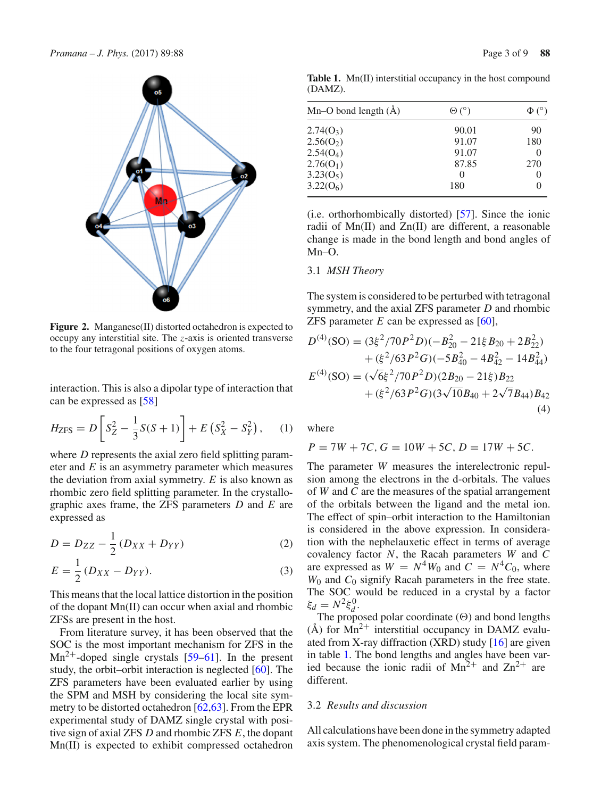

<span id="page-2-0"></span>**Figure 2.** Manganese(II) distorted octahedron is expected to occupy any interstitial site. The *z*-axis is oriented transverse to the four tetragonal positions of oxygen atoms.

interaction. This is also a dipolar type of interaction that can be expressed as [\[58\]](#page-7-31)

$$
H_{\text{ZFS}} = D \left[ S_Z^2 - \frac{1}{3} S(S+1) \right] + E \left( S_X^2 - S_Y^2 \right), \quad (1)
$$

where *D* represents the axial zero field splitting parameter and *E* is an asymmetry parameter which measures the deviation from axial symmetry. *E* is also known as rhombic zero field splitting parameter. In the crystallographic axes frame, the ZFS parameters *D* and *E* are expressed as

$$
D = D_{ZZ} - \frac{1}{2} (D_{XX} + D_{YY})
$$
 (2)

$$
E = \frac{1}{2} (D_{XX} - D_{YY}).
$$
 (3)

This means that the local lattice distortion in the position of the dopant Mn(II) can occur when axial and rhombic ZFSs are present in the host.

From literature survey, it has been observed that the SOC is the most important mechanism for ZFS in the  $Mn^{2+}$ -doped single crystals [\[59](#page-7-32)[–61](#page-7-33)]. In the present study, the orbit–orbit interaction is neglected [\[60](#page-7-34)]. The ZFS parameters have been evaluated earlier by using the SPM and MSH by considering the local site symmetry to be distorted octahedron  $[62, 63]$  $[62, 63]$ . From the EPR experimental study of DAMZ single crystal with positive sign of axial ZFS *D* and rhombic ZFS *E*, the dopant Mn(II) is expected to exhibit compressed octahedron

<span id="page-2-1"></span>**Table 1.** Mn(II) interstitial occupancy in the host compound (DAMZ).

| Mn–O bond length $(\AA)$ | $\Theta$ ( $\degree$ ) |     |  |
|--------------------------|------------------------|-----|--|
| $2.74(0_3)$              | 90.01                  | 90  |  |
| 2.56(O <sub>2</sub> )    | 91.07                  | 180 |  |
| 2.54(O <sub>4</sub> )    | 91.07                  |     |  |
| $2.76(O_1)$              | 87.85                  | 270 |  |
| $3.23(0_5)$              | $\theta$               |     |  |
| 3.22(O <sub>6</sub> )    | 180                    |     |  |

(i.e. orthorhombically distorted) [\[57\]](#page-7-30). Since the ionic radii of Mn(II) and Zn(II) are different, a reasonable change is made in the bond length and bond angles of Mn–O.

## 3.1 *MSH Theory*

The system is considered to be perturbed with tetragonal symmetry, and the axial ZFS parameter *D* and rhombic ZFS parameter *E* can be expressed as [\[60](#page-7-34)],

$$
D^{(4)}(\text{SO}) = (3\xi^2/70P^2D)(-B_{20}^2 - 21\xi B_{20} + 2B_{22}^2) + (\xi^2/63P^2G)(-5B_{40}^2 - 4B_{42}^2 - 14B_{44}^2) E^{(4)}(\text{SO}) = (\sqrt{6}\xi^2/70P^2D)(2B_{20} - 21\xi)B_{22} + (\xi^2/63P^2G)(3\sqrt{10}B_{40} + 2\sqrt{7}B_{44})B_{42}
$$
\n(4)

where

$$
P = 7W + 7C, G = 10W + 5C, D = 17W + 5C.
$$

The parameter *W* measures the interelectronic repulsion among the electrons in the d-orbitals. The values of *W* and *C* are the measures of the spatial arrangement of the orbitals between the ligand and the metal ion. The effect of spin–orbit interaction to the Hamiltonian is considered in the above expression. In consideration with the nephelauxetic effect in terms of average covalency factor *N*, the Racah parameters *W* and *C* are expressed as  $W = N^4 W_0$  and  $C = N^4 C_0$ , where *W*<sup>0</sup> and *C*<sup>0</sup> signify Racah parameters in the free state. The SOC would be reduced in a crystal by a factor  $\xi_d = N^2 \xi_d^0$ .

The proposed polar coordinate  $(\Theta)$  and bond lengths  $(A)$  for  $Mn^{2+}$  interstitial occupancy in DAMZ evaluated from X-ray diffraction (XRD) study [\[16\]](#page-7-2) are given in table [1.](#page-2-1) The bond lengths and angles have been varied because the ionic radii of  $Mn^{2+}$  and  $Zn^{2+}$  are different.

## 3.2 *Results and discussion*

All calculations have been done in the symmetry adapted axis system. The phenomenological crystal field param-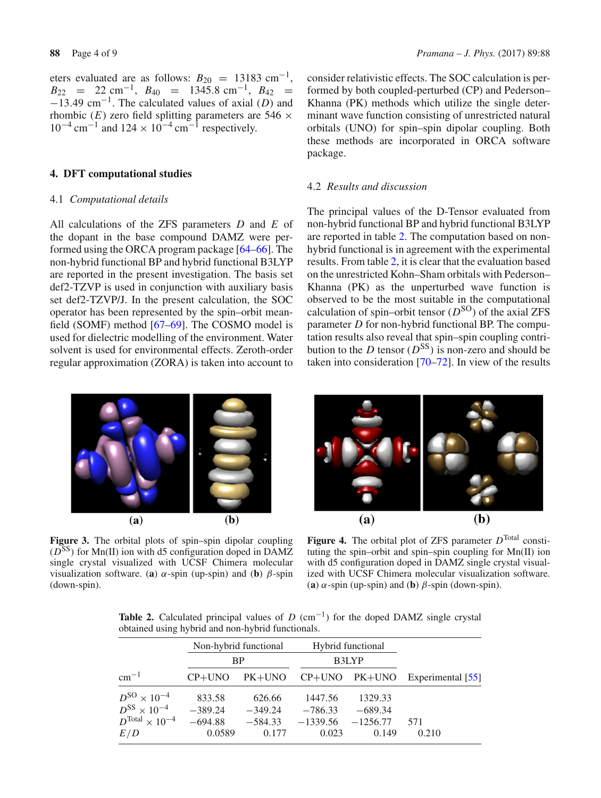eters evaluated are as follows:  $B_{20} = 13183 \text{ cm}^{-1}$ ,  $B_{22}$  = 22 cm<sup>-1</sup>,  $B_{40}$  = 1345.8 cm<sup>-1</sup>,  $B_{42}$  = <sup>−</sup>13.49 cm−1. The calculated values of axial (*D*) and rhombic  $(E)$  zero field splitting parameters are 546  $\times$  $10^{-4}$  cm<sup>-1</sup> and  $124 \times 10^{-4}$  cm<sup>-1</sup> respectively.

#### **4. DFT computational studies**

#### 4.1 *Computational details*

All calculations of the ZFS parameters *D* and *E* of the dopant in the base compound DAMZ were performed using the ORCA program package [\[64](#page-7-37)[–66\]](#page-7-38). The non-hybrid functional BP and hybrid functional B3LYP are reported in the present investigation. The basis set def2-TZVP is used in conjunction with auxiliary basis set def2-TZVP/J. In the present calculation, the SOC operator has been represented by the spin–orbit meanfield (SOMF) method [\[67](#page-7-39)[–69](#page-7-40)]. The COSMO model is used for dielectric modelling of the environment. Water solvent is used for environmental effects. Zeroth-order regular approximation (ZORA) is taken into account to consider relativistic effects. The SOC calculation is performed by both coupled-perturbed (CP) and Pederson– Khanna (PK) methods which utilize the single determinant wave function consisting of unrestricted natural orbitals (UNO) for spin–spin dipolar coupling. Both these methods are incorporated in ORCA software package.

## 4.2 *Results and discussion*

The principal values of the D-Tensor evaluated from non-hybrid functional BP and hybrid functional B3LYP are reported in table [2.](#page-3-0) The computation based on nonhybrid functional is in agreement with the experimental results. From table [2,](#page-3-0) it is clear that the evaluation based on the unrestricted Kohn–Sham orbitals with Pederson– Khanna (PK) as the unperturbed wave function is observed to be the most suitable in the computational calculation of spin–orbit tensor  $(D^{SO})$  of the axial ZFS parameter *D* for non-hybrid functional BP. The computation results also reveal that spin–spin coupling contribution to the *D* tensor ( $D^{SS}$ ) is non-zero and should be taken into consideration [\[70](#page-7-41)[–72\]](#page-8-0). In view of the results



<span id="page-3-1"></span>**Figure 3.** The orbital plots of spin–spin dipolar coupling ( $D^{SS}$ ) for Mn(II) ion with d5 configuration doped in DAMZ single crystal visualized with UCSF Chimera molecular visualization software. (**a**)  $\alpha$ -spin (up-spin) and (**b**)  $\beta$ -spin (down-spin).



<span id="page-3-2"></span>Figure 4. The orbital plot of ZFS parameter  $D<sup>Total</sup>$  constituting the spin–orbit and spin–spin coupling for Mn(II) ion with d5 configuration doped in DAMZ single crystal visualized with UCSF Chimera molecular visualization software. (**a**)  $\alpha$ -spin (up-spin) and (**b**)  $\beta$ -spin (down-spin).

<span id="page-3-0"></span>**Table 2.** Calculated principal values of  $D$  (cm<sup>-1</sup>) for the doped DAMZ single crystal obtained using hybrid and non-hybrid functionals.

|                         | Non-hybrid functional |           |            | Hybrid functional |                   |
|-------------------------|-----------------------|-----------|------------|-------------------|-------------------|
|                         | <b>BP</b>             |           | B3LYP      |                   |                   |
| $cm^{-1}$               | $CP+UNO$              | $PK+UNO$  |            | $CP+UNO$ $PK+UNO$ | Experimental [55] |
| $D^{SO} \times 10^{-4}$ | 833.58                | 626.66    | 1447.56    | 1329.33           |                   |
| $D^{SS} \times 10^{-4}$ | $-389.24$             | $-349.24$ | $-786.33$  | $-689.34$         |                   |
| $DTotal \times 10^{-4}$ | $-694.88$             | $-584.33$ | $-1339.56$ | $-1256.77$        | 571               |
| E/D                     | 0.0589                | 0.177     | 0.023      | 0.149             | 0.210             |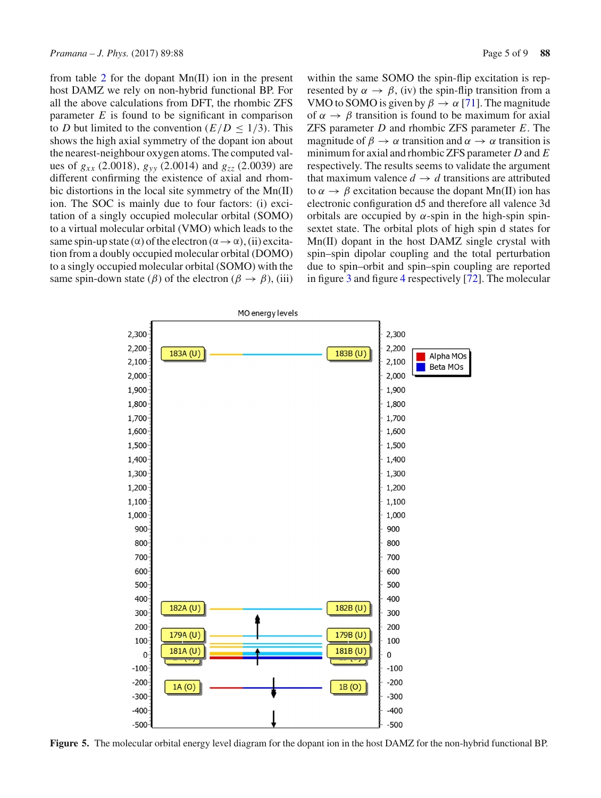from table [2](#page-3-0) for the dopant Mn(II) ion in the present host DAMZ we rely on non-hybrid functional BP. For all the above calculations from DFT, the rhombic ZFS parameter *E* is found to be significant in comparison to *D* but limited to the convention  $(E/D < 1/3)$ . This shows the high axial symmetry of the dopant ion about the nearest-neighbour oxygen atoms. The computed values of  $g_{xx}$  (2.0018),  $g_{yy}$  (2.0014) and  $g_{zz}$  (2.0039) are different confirming the existence of axial and rhombic distortions in the local site symmetry of the Mn(II) ion. The SOC is mainly due to four factors: (i) excitation of a singly occupied molecular orbital (SOMO) to a virtual molecular orbital (VMO) which leads to the same spin-up state ( $\alpha$ ) of the electron ( $\alpha \rightarrow \alpha$ ), (ii) excitation from a doubly occupied molecular orbital (DOMO) to a singly occupied molecular orbital (SOMO) with the same spin-down state ( $\beta$ ) of the electron ( $\beta \rightarrow \beta$ ), (iii)

within the same SOMO the spin-flip excitation is represented by  $\alpha \rightarrow \beta$ , (iv) the spin-flip transition from a VMO to SOMO is given by  $\beta \to \alpha$  [\[71](#page-7-42)]. The magnitude of  $\alpha \rightarrow \beta$  transition is found to be maximum for axial ZFS parameter *D* and rhombic ZFS parameter *E*. The magnitude of  $\beta \to \alpha$  transition and  $\alpha \to \alpha$  transition is minimum for axial and rhombic ZFS parameter *D* and *E* respectively. The results seems to validate the argument that maximum valence  $d \rightarrow d$  transitions are attributed to  $\alpha \rightarrow \beta$  excitation because the dopant Mn(II) ion has electronic configuration d5 and therefore all valence 3d orbitals are occupied by  $\alpha$ -spin in the high-spin spinsextet state. The orbital plots of high spin d states for Mn(II) dopant in the host DAMZ single crystal with spin–spin dipolar coupling and the total perturbation due to spin–orbit and spin–spin coupling are reported in figure [3](#page-3-1) and figure [4](#page-3-2) respectively [\[72\]](#page-8-0). The molecular



<span id="page-4-0"></span>**Figure 5.** The molecular orbital energy level diagram for the dopant ion in the host DAMZ for the non-hybrid functional BP.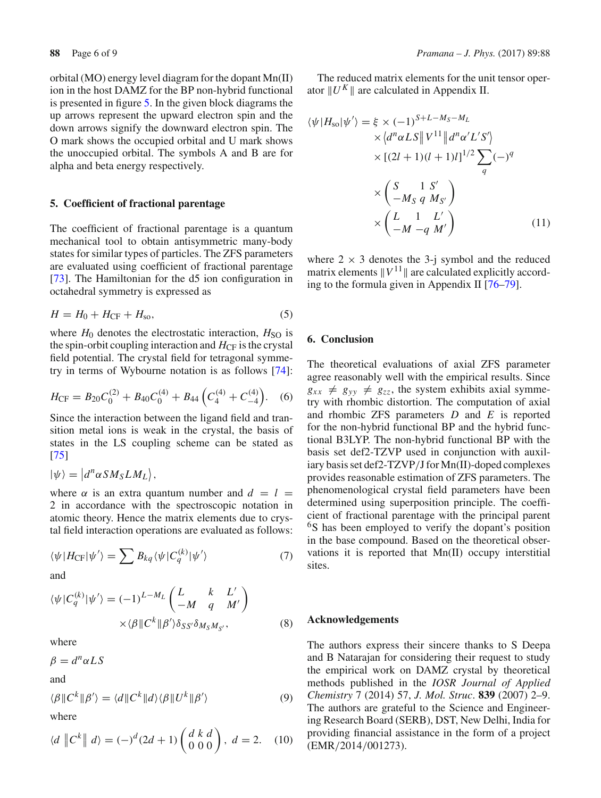orbital (MO) energy level diagram for the dopant Mn(II) ion in the host DAMZ for the BP non-hybrid functional is presented in figure [5.](#page-4-0) In the given block diagrams the up arrows represent the upward electron spin and the down arrows signify the downward electron spin. The O mark shows the occupied orbital and U mark shows the unoccupied orbital. The symbols A and B are for alpha and beta energy respectively.

### **5. Coefficient of fractional parentage**

The coefficient of fractional parentage is a quantum mechanical tool to obtain antisymmetric many-body states for similar types of particles. The ZFS parameters are evaluated using coefficient of fractional parentage [\[73](#page-8-1)]. The Hamiltonian for the d5 ion configuration in octahedral symmetry is expressed as

$$
H = H_0 + H_{\rm CF} + H_{\rm so},\tag{5}
$$

where  $H_0$  denotes the electrostatic interaction,  $H_{SO}$  is the spin-orbit coupling interaction and  $H_{\text{CF}}$  is the crystal field potential. The crystal field for tetragonal symmetry in terms of Wybourne notation is as follows [\[74\]](#page-8-2):

$$
H_{\rm CF} = B_{20}C_0^{(2)} + B_{40}C_0^{(4)} + B_{44}\left(C_4^{(4)} + C_{-4}^{(4)}\right). \quad (6)
$$

Since the interaction between the ligand field and transition metal ions is weak in the crystal, the basis of states in the LS coupling scheme can be stated as [\[75](#page-8-3)]

$$
|\psi\rangle = |d^n \alpha S M_S L M_L\rangle,
$$

where  $\alpha$  is an extra quantum number and  $d = l$ 2 in accordance with the spectroscopic notation in atomic theory. Hence the matrix elements due to crystal field interaction operations are evaluated as follows:

$$
\langle \psi | H_{\rm CF} | \psi' \rangle = \sum B_{kq} \langle \psi | C_q^{(k)} | \psi' \rangle \tag{7}
$$

and

$$
\langle \psi | C_q^{(k)} | \psi' \rangle = (-1)^{L - M_L} \begin{pmatrix} L & k & L' \\ -M & q & M' \end{pmatrix}
$$

$$
\times \langle \beta | C^k | \beta' \rangle \delta_{SS'} \delta_{M_S M_{S'}}, \tag{8}
$$

where

$$
\beta = d^n \alpha L S
$$

and

$$
\langle \beta \| C^k \| \beta' \rangle = \langle d \| C^k \| d \rangle \langle \beta \| U^k \| \beta' \rangle
$$
\nwhere

$$
\langle d \parallel C^k \parallel d \rangle = (-)^d (2d+1) \begin{pmatrix} d & d \\ 0 & 0 \end{pmatrix}, \ d = 2. \quad (10)
$$

The reduced matrix elements for the unit tensor operator  $||U^K||$  are calculated in Appendix II.

$$
\langle \psi | H_{\rm so} | \psi' \rangle = \xi \times (-1)^{S+L-M_S-M_L}
$$
  
 
$$
\times \langle d^n \alpha L S \| V^{11} \| d^n \alpha' L' S' \rangle
$$
  
 
$$
\times [(2l+1)(l+1)l]^{1/2} \sum_{q} (-)^q
$$
  
 
$$
\times \begin{pmatrix} S & 1 & S' \\ -M_S & q & M_{S'} \end{pmatrix}
$$
  
 
$$
\times \begin{pmatrix} L & 1 & L' \\ -M & -q & M' \end{pmatrix}
$$
 (11)

where  $2 \times 3$  denotes the 3-j symbol and the reduced matrix elements  $||V^{11}||$  are calculated explicitly according to the formula given in Appendix II [\[76](#page-8-4)[–79](#page-8-5)].

## **6. Conclusion**

The theoretical evaluations of axial ZFS parameter agree reasonably well with the empirical results. Since  $g_{xx} \neq g_{yy} \neq g_{zz}$ , the system exhibits axial symmetry with rhombic distortion. The computation of axial and rhombic ZFS parameters *D* and *E* is reported for the non-hybrid functional BP and the hybrid functional B3LYP. The non-hybrid functional BP with the basis set def2-TZVP used in conjunction with auxiliary basis set def2-TZVP/J for Mn(II)-doped complexes provides reasonable estimation of ZFS parameters. The phenomenological crystal field parameters have been determined using superposition principle. The coefficient of fractional parentage with the principal parent <sup>6</sup>S has been employed to verify the dopant's position in the base compound. Based on the theoretical observations it is reported that Mn(II) occupy interstitial sites.

#### **Acknowledgements**

The authors express their sincere thanks to S Deepa and B Natarajan for considering their request to study the empirical work on DAMZ crystal by theoretical methods published in the *IOSR Journal of Applied Chemistry* 7 (2014) 57, *J. Mol. Struc*. **839** (2007) 2–9. The authors are grateful to the Science and Engineering Research Board (SERB), DST, New Delhi, India for providing financial assistance in the form of a project (EMR/2014/001273).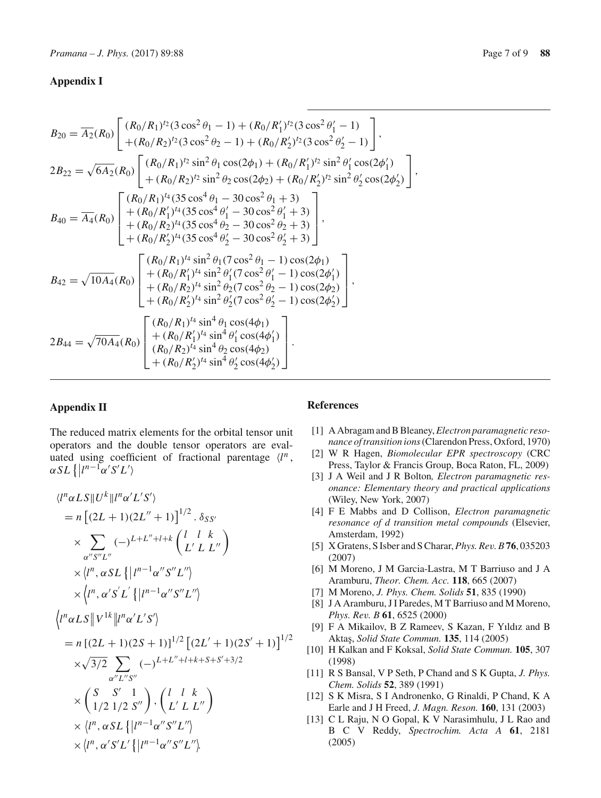# **Appendix I**

$$
B_{20} = \overline{A_2}(R_0) \left[ \frac{(R_0/R_1)^{t_2}(3 \cos^2 \theta_1 - 1) + (R_0/R'_1)^{t_2}(3 \cos^2 \theta_1' - 1)}{+(R_0/R_2)^{t_2}(3 \cos^2 \theta_2 - 1) + (R_0/R'_2)^{t_2}(3 \cos^2 \theta_2' - 1)} \right],
$$
  
\n
$$
2B_{22} = \sqrt{6A_2}(R_0) \left[ \frac{(R_0/R_1)^{t_2} \sin^2 \theta_1 \cos(2\phi_1) + (R_0/R'_1)^{t_2} \sin^2 \theta_1' \cos(2\phi_1')}{+(R_0/R_2)^{t_2} \sin^2 \theta_2 \cos(2\phi_2) + (R_0/R'_2)^{t_2} \sin^2 \theta_2' \cos(2\phi_2')} \right],
$$
  
\n
$$
B_{40} = \overline{A_4}(R_0) \left[ \frac{(R_0/R_1)^{t_4}(35 \cos^4 \theta_1 - 30 \cos^2 \theta_1 + 3)}{+(R_0/R_2)^{t_4}(35 \cos^4 \theta_2 - 30 \cos^2 \theta_2 + 3)} \right],
$$
  
\n
$$
B_{40} = \overline{A_4}(R_0) \left[ \frac{(R_0/R_1)^{t_4}(35 \cos^4 \theta_1 - 30 \cos^2 \theta_1' + 3)}{+(R_0/R_2)^{t_4}(35 \cos^4 \theta_2' - 30 \cos^2 \theta_2' + 3)} \right],
$$
  
\n
$$
B_{42} = \sqrt{10A_4}(R_0) \left[ \frac{(R_0/R_1)^{t_4} \sin^2 \theta_1(7 \cos^2 \theta_1 - 1) \cos(2\phi_1)}{+(R_0/R_2)^{t_4} \sin^2 \theta_2(7 \cos^2 \theta_2' - 1) \cos(2\phi_2')} \right],
$$
  
\n
$$
B_{42} = \sqrt{10A_4}(R_0) \left[ \frac{(R_0/R_1)^{t_4} \sin^2 \theta_1(7 \cos^2 \theta_1' - 1) \cos(2\phi_1')}{+(R_0/R_2)^{t
$$

# **Appendix II**

The reduced matrix elements for the orbital tensor unit operators and the double tensor operators are evaluated using coefficient of fractional parentage  $\langle l^n \rangle$ ,  $\alpha SL\left\{ \left| l^{n-1}\alpha'S'L'\right\rangle \right\}$ 

$$
\langle l^n \alpha L S || U^k || l^n \alpha' L' S' \rangle
$$
  
=  $n \left[ (2L + 1)(2L'' + 1) \right]^{1/2} \cdot \delta_{SS'}$   
 $\times \sum_{\alpha'' S'' L''} (-)^{L+L''+l+k} {l \choose L' L L''}$   
 $\times \langle l^n, \alpha SL \{ | l^{n-1} \alpha'' S'' L'' \rangle$   
 $\times \langle l^n, \alpha' S' L' \{ | l^{n-1} \alpha'' S'' L'' \rangle$   
 $\langle l^n \alpha L S || V^{1k} || l^n \alpha' L' S' \rangle$   
=  $n \left[ (2L + 1)(2S + 1) \right]^{1/2} \left[ (2L' + 1)(2S' + 1) \right]^{1/2}$   
 $\times \sqrt{3/2} \sum_{\alpha'' L'' S''} (-)^{L+L''+l+k+S+S'+3/2}$   
 $\times \left( \frac{S}{1/2} \frac{S'}{1/2} \frac{1}{S''} \right), \left( \frac{l}{L' L} \frac{l}{L''} \right)$   
 $\times \langle l^n, \alpha SL \{ | l^{n-1} \alpha'' S'' L'' \rangle$   
 $\times \langle l^n, \alpha' S' L' \{ | l^{n-1} \alpha'' S'' L'' \rangle$ 

# **References**

- <span id="page-6-0"></span>[1] A Abragam and B Bleaney,*Electron paramagnetic resonance of transition ions*(Clarendon Press, Oxford, 1970)
- <span id="page-6-1"></span>[2] W R Hagen, *Biomolecular EPR spectroscopy* (CRC Press, Taylor & Francis Group, Boca Raton, FL, 2009)
- <span id="page-6-2"></span>[3] J A Weil and J R Bolton*, Electron paramagnetic resonance: Elementary theory and practical applications* (Wiley, New York, 2007)
- <span id="page-6-3"></span>[4] F E Mabbs and D Collison, *Electron paramagnetic resonance of d transition metal compounds* (Elsevier, Amsterdam, 1992)
- <span id="page-6-4"></span>[5] X Gratens, S Isber and S Charar,*Phys. Rev. B* **76**, 035203 (2007)
- [6] M Moreno, J M Garcia-Lastra, M T Barriuso and J A Aramburu, *Theor. Chem. Acc.* **118**, 665 (2007)
- [7] M Moreno, *J. Phys. Chem. Solids* **51**, 835 (1990)
- [8] J A Aramburu, J I Paredes, M T Barriuso and M Moreno, *Phys. Rev. B* **61**, 6525 (2000)
- <span id="page-6-5"></span>[9] F A Mikailov, B Z Rameev, S Kazan, F Yıldız and B Akta¸s, *Solid State Commun.* **135**, 114 (2005)
- <span id="page-6-6"></span>[10] H Kalkan and F Koksal, *Solid State Commun.* **105**, 307 (1998)
- <span id="page-6-7"></span>[11] R S Bansal, V P Seth, P Chand and S K Gupta, *J. Phys. Chem. Solids* **52**, 389 (1991)
- <span id="page-6-8"></span>[12] S K Misra, S I Andronenko, G Rinaldi, P Chand, K A Earle and J H Freed, *J. Magn. Reson.* **160**, 131 (2003)
- <span id="page-6-9"></span>[13] C L Raju, N O Gopal, K V Narasimhulu, J L Rao and B C V Reddy, *Spectrochim. Acta A* **61**, 2181 (2005)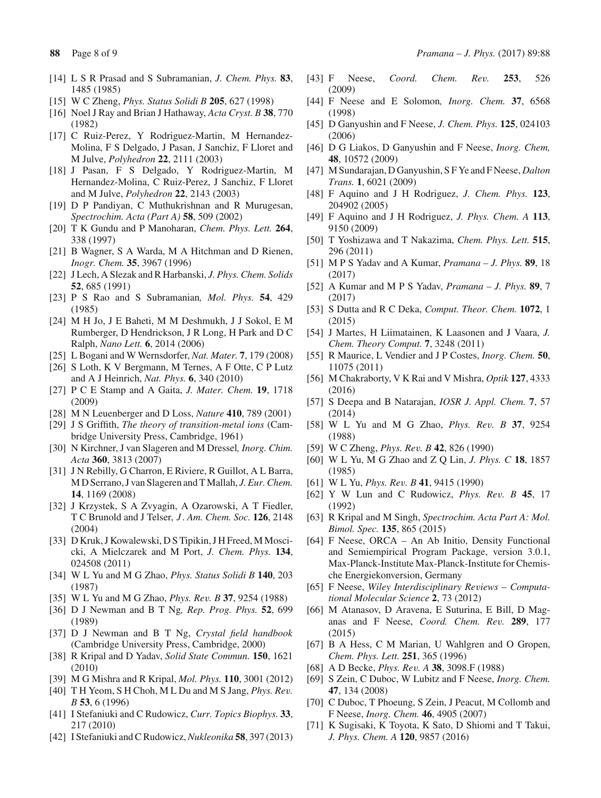- <span id="page-7-0"></span>[14] L S R Prasad and S Subramanian, *J. Chem. Phys.* **83**, 1485 (1985)
- <span id="page-7-1"></span>[15] W C Zheng, *Phys. Status Solidi B* **205**, 627 (1998)
- <span id="page-7-2"></span>[16] Noel J Ray and Brian J Hathaway, *Acta Cryst. B* **38**, 770 (1982)
- <span id="page-7-3"></span>[17] C Ruiz-Perez, Y Rodriguez-Martin, M Hernandez-Molina, F S Delgado, J Pasan, J Sanchiz, F Lloret and M Julve, *Polyhedron* **22**, 2111 (2003)
- <span id="page-7-4"></span>[18] J Pasan, F S Delgado, Y Rodriguez-Martin, M Hernandez-Molina, C Ruiz-Perez, J Sanchiz, F Lloret and M Julve, *Polyhedron* **22**, 2143 (2003)
- <span id="page-7-5"></span>[19] D P Pandiyan, C Muthukrishnan and R Murugesan, *Spectrochim. Acta (Part A)* **58**, 509 (2002)
- [20] T K Gundu and P Manoharan, *Chem. Phys. Lett.* **264**, 338 (1997)
- [21] B Wagner, S A Warda, M A Hitchman and D Rienen, *Inogr. Chem.* **35**, 3967 (1996)
- <span id="page-7-6"></span>[22] J Lech, A Slezak and R Harbanski, *J. Phys. Chem. Solids* **52**, 685 (1991)
- <span id="page-7-7"></span>[23] P S Rao and S Subramanian*, Mol. Phys.* **54**, 429 (1985)
- <span id="page-7-8"></span>[24] M H Jo, J E Baheti, M M Deshmukh, J J Sokol, E M Rumberger, D Hendrickson, J R Long, H Park and D C Ralph, *Nano Lett.* **6**, 2014 (2006)
- [25] L Bogani and W Wernsdorfer, *Nat. Mater.* **7**, 179 (2008)
- [26] S Loth, K V Bergmann, M Ternes, A F Otte, C P Lutz and A J Heinrich, *Nat. Phys.* **6**, 340 (2010)
- [27] P C E Stamp and A Gaita, *J. Mater. Chem.* **19**, 1718 (2009)
- <span id="page-7-9"></span>[28] M N Leuenberger and D Loss, *Nature* **410**, 789 (2001)
- <span id="page-7-10"></span>[29] J S Griffith, *The theory of transition-metal ions* (Cambridge University Press, Cambridge, 1961)
- <span id="page-7-11"></span>[30] N Kirchner, J van Slageren and M Dressel*, Inorg. Chim. Acta* **360**, 3813 (2007)
- <span id="page-7-12"></span>[31] J N Rebilly, G Charron, E Riviere, R Guillot, A L Barra, M D Serrano, J van Slageren and T Mallah, *J. Eur. Chem.* **14**, 1169 (2008)
- <span id="page-7-13"></span>[32] J Krzystek, S A Zvyagin, A Ozarowski, A T Fiedler, T C Brunold and J Telser, *J* . *Am. Chem. Soc.* **126**, 2148 (2004)
- <span id="page-7-14"></span>[33] D Kruk, J Kowalewski, D S Tipikin, J H Freed, M Moscicki, A Mielczarek and M Port, *J. Chem. Phys.* **134**, 024508 (2011)
- <span id="page-7-15"></span>[34] W L Yu and M G Zhao, *Phys. Status Solidi B* **140**, 203 (1987)
- <span id="page-7-16"></span>[35] W L Yu and M G Zhao, *Phys. Rev. B* **37**, 9254 (1988)
- <span id="page-7-17"></span>[36] D J Newman and B T Ng*, Rep. Prog. Phys.* **52**, 699 (1989)
- <span id="page-7-18"></span>[37] D J Newman and B T Ng, *Crystal field handbook* (Cambridge University Press, Cambridge, 2000)
- <span id="page-7-19"></span>[38] R Kripal and D Yadav, *Solid State Commun.* **150**, 1621 (2010)
- [39] M G Mishra and R Kripal, *Mol. Phys.* **110**, 3001 (2012)
- <span id="page-7-20"></span>[40] T H Yeom, S H Choh, M L Du and M S Jang, *Phys. Rev. B* **53**, 6 (1996)
- <span id="page-7-21"></span>[41] I Stefaniuki and C Rudowicz, *Curr. Topics Biophys.* **33**, 217 (2010)
- <span id="page-7-22"></span>[42] I Stefaniuki and C Rudowicz,*Nukleonika* **58**, 397 (2013)
- <span id="page-7-23"></span>[43] F Neese, *Coord. Chem. Rev.* **253**, 526
- (2009) [44] F Neese and E Solomon*, Inorg. Chem.* **37**, 6568
- (1998) [45] D Ganyushin and F Neese, *J. Chem. Phys.* **125**, 024103 (2006)
- [46] D G Liakos, D Ganyushin and F Neese, *Inorg. Chem,* **48**, 10572 (2009)
- <span id="page-7-24"></span>[47] M Sundarajan, D Ganyushin, S F Ye and F Neese, *Dalton Trans.* **1**, 6021 (2009)
- <span id="page-7-25"></span>[48] F Aquino and J H Rodriguez, *J. Chem. Phys.* **123**, 204902 (2005)
- [49] F Aquino and J H Rodriguez, *J. Phys. Chem. A* **113**, 9150 (2009)
- [50] T Yoshizawa and T Nakazima, *Chem. Phys. Lett.* **515**, 296 (2011)
- [51] M P S Yadav and A Kumar, *Pramana J. Phys.* **89**, 18 (2017)
- <span id="page-7-26"></span>[52] A Kumar and M P S Yadav, *Pramana – J. Phys.* **89**, 7 (2017)
- <span id="page-7-27"></span>[53] S Dutta and R C Deka, *Comput. Theor. Chem.* **1072**, 1 (2015)
- [54] J Martes, H Liimatainen, K Laasonen and J Vaara, *J. Chem. Theory Comput.* **7**, 3248 (2011)
- <span id="page-7-28"></span>[55] R Maurice, L Vendier and J P Costes, *Inorg. Chem.* **50**, 11075 (2011)
- <span id="page-7-29"></span>[56] M Chakraborty, V K Rai and V Mishra, *Optik* **127**, 4333 (2016)
- <span id="page-7-30"></span>[57] S Deepa and B Natarajan, *IOSR J. Appl. Chem.* **7**, 57 (2014)
- <span id="page-7-31"></span>[58] W L Yu and M G Zhao, *Phys. Rev. B* **37**, 9254 (1988)
- <span id="page-7-32"></span>[59] W C Zheng, *Phys. Rev. B* **42**, 826 (1990)
- <span id="page-7-34"></span>[60] W L Yu, M G Zhao and Z Q Lin, *J. Phys. C* **18**, 1857 (1985)
- <span id="page-7-33"></span>[61] W L Yu, *Phys. Rev. B* **41**, 9415 (1990)
- <span id="page-7-35"></span>[62] Y W Lun and C Rudowicz, *Phys. Rev. B* **45**, 17 (1992)
- <span id="page-7-36"></span>[63] R Kripal and M Singh, *Spectrochim. Acta Part A: Mol. Bimol. Spec.* **135**, 865 (2015)
- <span id="page-7-37"></span>[64] F Neese, ORCA – An Ab Initio, Density Functional and Semiempirical Program Package, version 3.0.1, Max-Planck-Institute Max-Planck-Institute for Chemische Energiekonversion, Germany
- [65] F Neese, *Wiley Interdisciplinary Reviews Computational Molecular Science* **2**, 73 (2012)
- <span id="page-7-38"></span>[66] M Atanasov, D Aravena, E Suturina, E Bill, D Maganas and F Neese, *Coord. Chem. Rev.* **289**, 177 (2015)
- <span id="page-7-39"></span>[67] B A Hess, C M Marian, U Wahlgren and O Gropen, *Chem. Phys. Lett.* **251**, 365 (1996)
- [68] A D Becke, *Phys. Rev. A* **38**, 3098.F (1988)
- <span id="page-7-40"></span>[69] S Zein, C Duboc, W Lubitz and F Neese, *Inorg. Chem.* **47**, 134 (2008)
- <span id="page-7-41"></span>[70] C Duboc, T Phoeung, S Zein, J Peacut, M Collomb and F Neese, *Inorg. Chem.* **46**, 4905 (2007)
- <span id="page-7-42"></span>[71] K Sugisaki, K Toyota, K Sato, D Shiomi and T Takui, *J. Phys. Chem. A* **120**, 9857 (2016)